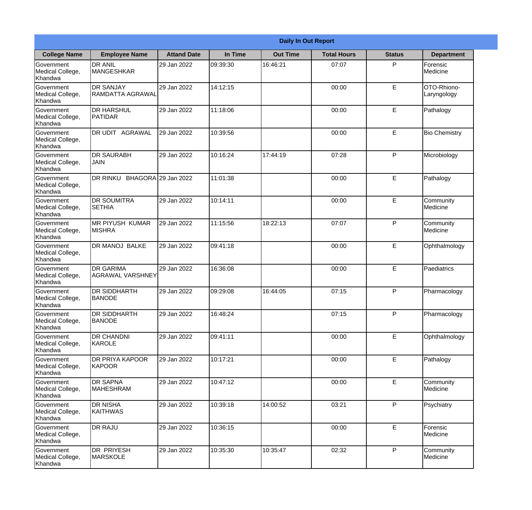|                                                  | <b>Daily In Out Report</b>                  |                    |          |                 |                    |               |                            |
|--------------------------------------------------|---------------------------------------------|--------------------|----------|-----------------|--------------------|---------------|----------------------------|
| <b>College Name</b>                              | <b>Employee Name</b>                        | <b>Attand Date</b> | In Time  | <b>Out Time</b> | <b>Total Hours</b> | <b>Status</b> | <b>Department</b>          |
| Government<br>Medical College,<br>Khandwa        | <b>DR ANIL</b><br><b>MANGESHKAR</b>         | 29 Jan 2022        | 09:39:30 | 16:46:21        | 07:07              | P             | Forensic<br>Medicine       |
| Government<br>Medical College,<br>Khandwa        | <b>DR SANJAY</b><br>RAMDATTA AGRAWAL        | 29 Jan 2022        | 14:12:15 |                 | 00:00              | $\mathsf E$   | OTO-Rhiono-<br>Laryngology |
| <b>Government</b><br>Medical College,<br>Khandwa | <b>DR HARSHUL</b><br><b>PATIDAR</b>         | 29 Jan 2022        | 11:18:06 |                 | 00:00              | E             | Pathalogy                  |
| <b>Government</b><br>Medical College,<br>Khandwa | DR UDIT AGRAWAL                             | 29 Jan 2022        | 10:39:56 |                 | 00:00              | E             | <b>Bio Chemistry</b>       |
| Government<br>Medical College,<br>Khandwa        | <b>DR SAURABH</b><br><b>JAIN</b>            | 29 Jan 2022        | 10:16:24 | 17:44:19        | 07:28              | P             | Microbiology               |
| <b>Government</b><br>Medical College,<br>Khandwa | DR RINKU BHAGORA 29 Jan 2022                |                    | 11:01:38 |                 | 00:00              | E             | Pathalogy                  |
| <b>Government</b><br>Medical College,<br>Khandwa | <b>DR SOUMITRA</b><br><b>SETHIA</b>         | 29 Jan 2022        | 10:14:11 |                 | 00:00              | E             | Community<br>Medicine      |
| <b>Government</b><br>Medical College,<br>Khandwa | <b>MR PIYUSH KUMAR</b><br><b>MISHRA</b>     | 29 Jan 2022        | 11:15:56 | 18:22:13        | 07:07              | P             | Community<br>Medicine      |
| Government<br>Medical College,<br>Khandwa        | <b>DR MANOJ BALKE</b>                       | 29 Jan 2022        | 09:41:18 |                 | 00:00              | E             | Ophthalmology              |
| Government<br>Medical College,<br>Khandwa        | <b>DR GARIMA</b><br><b>AGRAWAL VARSHNEY</b> | 29 Jan 2022        | 16:36:08 |                 | 00:00              | E             | Paediatrics                |
| Government<br>Medical College,<br>Khandwa        | <b>DR SIDDHARTH</b><br><b>BANODE</b>        | 29 Jan 2022        | 09:29:08 | 16:44:05        | 07:15              | P             | Pharmacology               |
| Government<br>Medical College,<br>Khandwa        | <b>DR SIDDHARTH</b><br><b>BANODE</b>        | 29 Jan 2022        | 16:48:24 |                 | 07:15              | P             | Pharmacology               |
| Government<br>Medical College,<br>Khandwa        | <b>DR CHANDNI</b><br>KAROLE                 | 29 Jan 2022        | 09:41:11 |                 | 00:00              | E             | Ophthalmology              |
| Government<br>Medical College,<br>Khandwa        | <b>DR PRIYA KAPOOR</b><br>KAPOOR            | 29 Jan 2022        | 10:17:21 |                 | 00:00              | $\mathsf E$   | Pathalogy                  |
| Government<br>Medical College,<br>Khandwa        | <b>DR SAPNA</b><br><b>MAHESHRAM</b>         | 29 Jan 2022        | 10:47:12 |                 | 00:00              | $\mathsf E$   | Community<br>Medicine      |
| Government<br>Medical College,<br>Khandwa        | DR NISHA<br><b>KAITHWAS</b>                 | 29 Jan 2022        | 10:39:18 | 14:00:52        | 03:21              | P             | Psychiatry                 |
| Government<br>Medical College,<br>Khandwa        | <b>DR RAJU</b>                              | 29 Jan 2022        | 10:36:15 |                 | 00:00              | $\mathsf E$   | Forensic<br>Medicine       |
| Government<br>Medical College,<br>Khandwa        | DR PRIYESH<br><b>MARSKOLE</b>               | 29 Jan 2022        | 10:35:30 | 10:35:47        | 02:32              | P             | Community<br>Medicine      |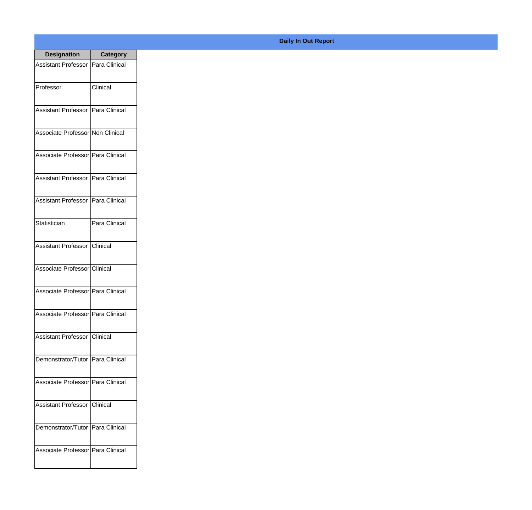| <b>Designation</b>                  | <b>Category</b> |
|-------------------------------------|-----------------|
| Assistant Professor   Para Clinical |                 |
| Professor                           | Clinical        |
| Assistant Professor   Para Clinical |                 |
| Associate Professor Non Clinical    |                 |
| Associate Professor   Para Clinical |                 |
| Assistant Professor   Para Clinical |                 |
| Assistant Professor   Para Clinical |                 |
| Statistician                        | Para Clinical   |
| Assistant Professor   Clinical      |                 |
| Associate Professor Clinical        |                 |
| Associate Professor   Para Clinical |                 |
| Associate Professor Para Clinical   |                 |
| Assistant Professor   Clinical      |                 |
| Demonstrator/Tutor   Para Clinical  |                 |
| Associate Professor Para Clinical   |                 |
| <b>Assistant Professor</b>          | <b>Clinical</b> |
| Demonstrator/Tutor   Para Clinical  |                 |
| Associate Professor   Para Clinical |                 |

## **Daily In Out Report**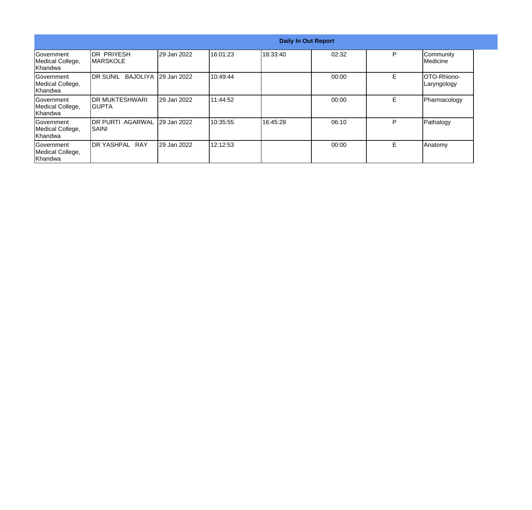|                                                   |                                    |                      |           |          | <b>Daily In Out Report</b> |   |                            |
|---------------------------------------------------|------------------------------------|----------------------|-----------|----------|----------------------------|---|----------------------------|
| Government<br>Medical College,<br>Khandwa         | IDR PRIYESH<br><b>IMARSKOLE</b>    | 29 Jan 2022          | 16:01:23  | 18:33:40 | 02:32                      | P | Community<br>Medicine      |
| Government<br>Medical College,<br>Khandwa         | <b>IDR SUNIL</b>                   | BAJOLIYA 29 Jan 2022 | 10:49:44  |          | 00:00                      | E | OTO-Rhiono-<br>Laryngology |
| <b>IGovernment</b><br>Medical College,<br>Khandwa | <b>IDR MUKTESHWARI</b><br>IGUPTA   | 29 Jan 2022          | 111:44:52 |          | 00:00                      | E | Pharmacology               |
| Government<br>Medical College,<br>Khandwa         | <b>IDR PURTI AGARWAL</b><br>ISAINI | <b>29 Jan 2022</b>   | 10:35:55  | 16:45:28 | 06:10                      | P | Pathalogy                  |
| Government<br>Medical College,<br>Khandwa         | <b>DR YASHPAL RAY</b>              | 29 Jan 2022          | 12:12:53  |          | 00:00                      | E | Anatomy                    |